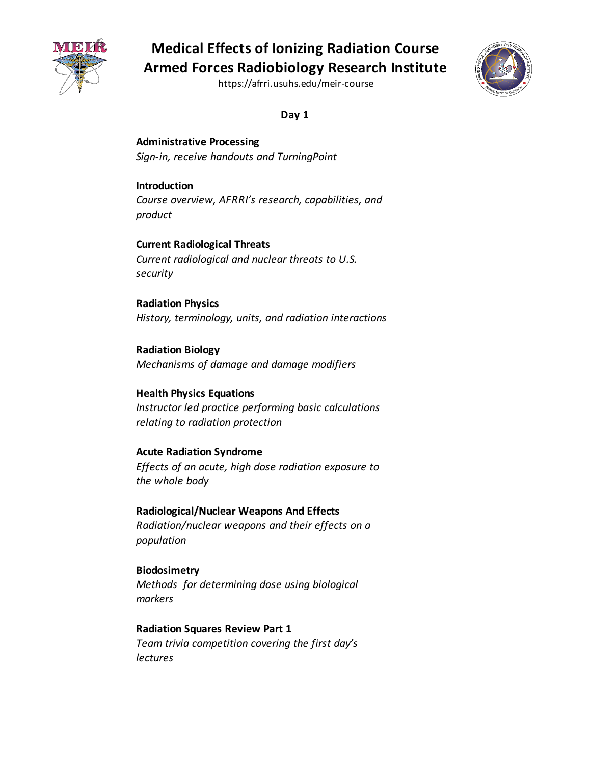

https://afrri.usuhs.edu/meir-course



**Day 1** 

 *Sign-in, receive handouts and TurningPoint*  **Administrative Processing** 

#### **Introduction**

*Course overview, AFRRI's research, capabilities, and product* 

 *Current radiological and nuclear threats to U.S.*  **Current Radiological Threats**  *security* 

 *History, terminology, units, and radiation interactions*  **Radiation Physics** 

 *Mechanisms of damage and damage modifiers*  **Radiation Biology** 

 **Health Physics Equations**   *Instructor led practice performing basic calculations relating to radiation protection* 

#### **Acute Radiation Syndrome**

 *Effects of an acute, high dose radiation exposure to the whole body* 

 **Radiological/Nuclear Weapons And Effects**   *Radiation/nuclear weapons and their effects on a population* 

 *Methods for determining dose using biological*  **Biodosimetry**  *markers* 

 **Radiation Squares Review Part 1**   *Team trivia competition covering the first day's lectures*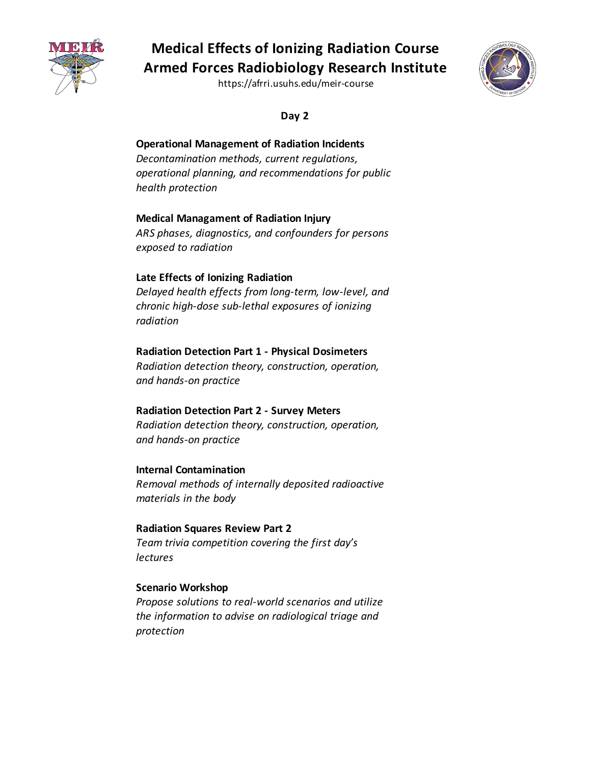

https://afrri.usuhs.edu/meir-course



**Day 2** 

### **Operational Management of Radiation Incidents**

 *operational planning, and recommendations for public Decontamination methods, current regulations, health protection* 

## **Medical Managament of Radiation Injury**

 *ARS phases, diagnostics, and confounders for persons exposed to radiation* 

### **Late Effects of Ionizing Radiation**

 *Delayed health effects from long-term, low-level, and chronic high-dose sub-lethal exposures of ionizing radiation* 

#### **Radiation Detection Part 1 - Physical Dosimeters**

 *Radiation detection theory, construction, operation, and hands-on practice* 

## **Radiation Detection Part 2 - Survey Meters**

 *Radiation detection theory, construction, operation, and hands-on practice* 

#### **Internal Contamination**

 *Removal methods of internally deposited radioactive materials in the body* 

#### **Radiation Squares Review Part 2**   *Team trivia competition covering the first day's lectures*

#### **Scenario Workshop**

 *Propose solutions to real-world scenarios and utilize the information to advise on radiological triage and protection*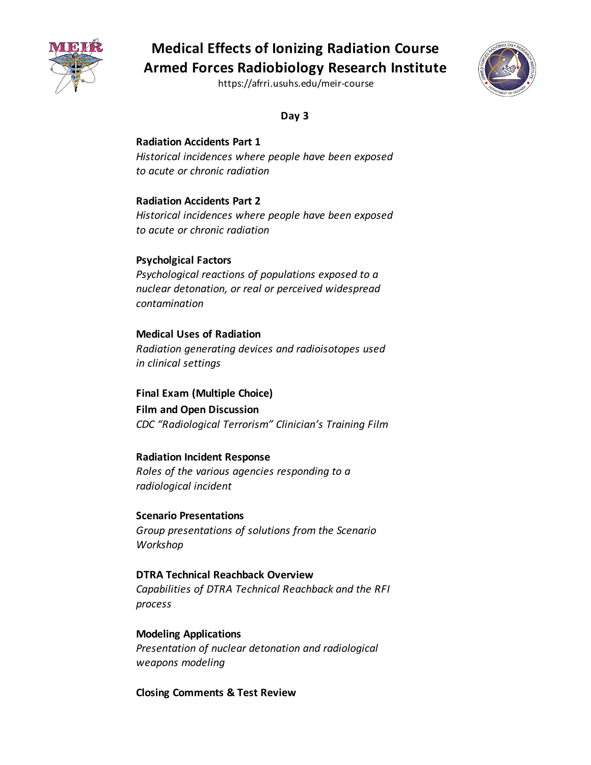

https://afrri.usuhs.edu/meir-course



**Day 3** 

#### **Radiation Accidents Part 1**

 *Historical incidences where people have been exposed to acute or chronic radiation* 

#### **Radiation Accidents Part 2**

 *Historical incidences where people have been exposed to acute or chronic radiation* 

#### **Psycholgical Factors**

 *Psychological reactions of populations exposed to a nuclear detonation, or real or perceived widespread contamination* 

## **Medical Uses of Radiation**   *Radiation generating devices and radioisotopes used in clinical settings*

 **Final Exam (Multiple Choice) Film and Open Discussion**   *CDC "Radiological Terrorism" Clinician's Training Film* 

#### **Radiation Incident Response**

 *Roles of the various agencies responding to a radiological incident* 

 *Group presentations of solutions from the Scenario*  **Scenario Presentations**  *Workshop* 

## **DTRA Technical Reachback Overview**   *Capabilities of DTRA Technical Reachback and the RFI process*

 *Presentation of nuclear detonation and radiological*  **Modeling Applications**  *weapons modeling* 

 **Closing Comments & Test Review**